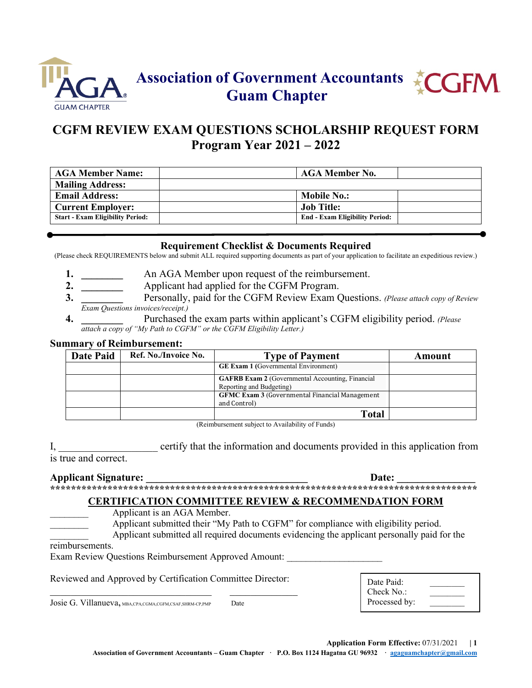

## **CGFM REVIEW EXAM QUESTIONS SCHOLARSHIP REQUEST FORM Program Year 2021 – 2022**

| <b>AGA Member Name:</b>                 | <b>AGA Member No.</b>                 |  |
|-----------------------------------------|---------------------------------------|--|
| <b>Mailing Address:</b>                 |                                       |  |
| <b>Email Address:</b>                   | <b>Mobile No.:</b>                    |  |
| <b>Current Employer:</b>                | Job Title:                            |  |
| <b>Start - Exam Eligibility Period:</b> | <b>End - Exam Eligibility Period:</b> |  |

#### **Requirement Checklist & Documents Required**

(Please check REQUIREMENTS below and submit ALL required supporting documents as part of your application to facilitate an expeditious review.)

- **1. \_\_\_\_\_\_\_\_** An AGA Member upon request of the reimbursement.
- **2. \_\_\_\_\_\_\_\_** Applicant had applied for the CGFM Program.
- **3. \_\_\_\_\_\_\_\_** Personally, paid for the CGFM Review Exam Questions. *(Please attach copy of Review Exam Questions invoices/receipt.)*
- **4. \_\_\_\_\_\_\_\_** Purchased the exam parts within applicant's CGFM eligibility period. *(Please attach a copy of "My Path to CGFM" or the CGFM Eligibility Letter.)*

#### **Summary of Reimbursement:**

| Date Paid | Ref. No./Invoice No. | <b>Type of Payment</b>                                                              | Amount |
|-----------|----------------------|-------------------------------------------------------------------------------------|--------|
|           |                      | <b>GE Exam 1 (Governmental Environment)</b>                                         |        |
|           |                      | <b>GAFRB Exam 2</b> (Governmental Accounting, Financial<br>Reporting and Budgeting) |        |
|           |                      | <b>GFMC Exam 3 (Governmental Financial Management)</b><br>and Control)              |        |
|           |                      | <b>Total</b>                                                                        |        |

(Reimbursement subject to Availability of Funds)

I, example example that the information and documents provided in this application from is true and correct.

#### **Applicant Signature:**  $\qquad \qquad$  **Date:**  $\qquad \qquad$ **\*\*\*\*\*\*\*\*\*\*\*\*\*\*\*\*\*\*\*\*\*\*\*\*\*\*\*\*\*\*\*\*\*\*\*\*\*\*\*\*\*\*\*\*\*\*\*\*\*\*\*\*\*\*\*\*\*\*\*\*\*\*\*\*\*\*\*\*\*\*\*\*\*\*\*\*\*\*\*\*\*\***

# **CERTIFICATION COMMITTEE REVIEW & RECOMMENDATION FORM**

Applicant is an AGA Member.

Applicant submitted their "My Path to CGFM" for compliance with eligibility period.

Applicant submitted all required documents evidencing the applicant personally paid for the

reimbursements.

Exam Review Questions Reimbursement Approved Amount:

Reviewed and Approved by Certification Committee Director: \_\_\_\_\_\_\_\_\_\_\_\_\_\_\_\_\_\_\_\_\_\_\_\_\_\_\_\_\_\_\_ \_\_\_\_\_\_\_\_\_\_\_\_\_

Josie G. Villanueva, MBA,CPA,CGMA,CGFM,CSAF,SHRM-CP,PMP Date

| Date Paid:    |  |
|---------------|--|
| Check $No.$ : |  |
| Processed by: |  |